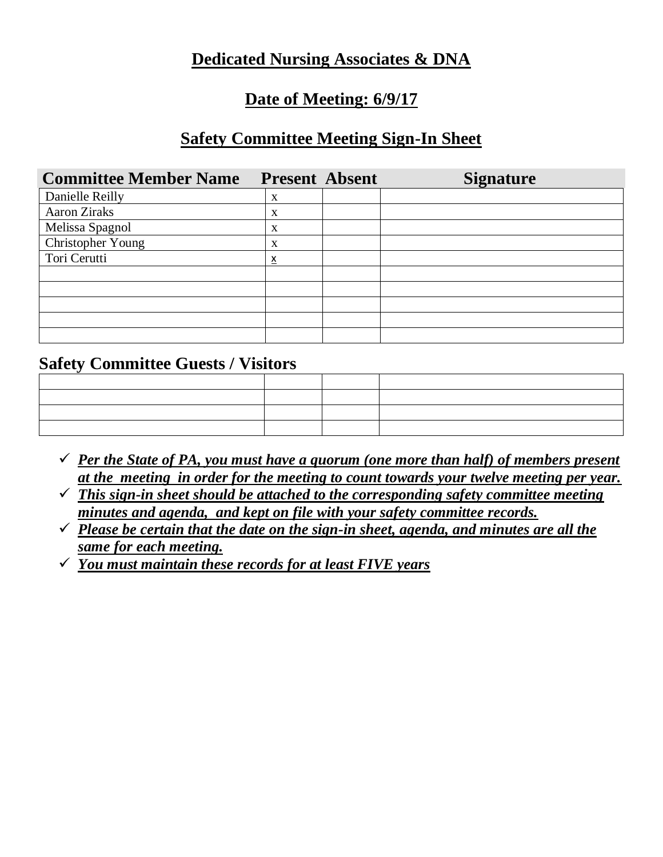### **Dedicated Nursing Associates & DNA**

## **Date of Meeting: 6/9/17**

## **Safety Committee Meeting Sign-In Sheet**

| <b>Committee Member Name</b> | <b>Present Absent</b> | <b>Signature</b> |
|------------------------------|-----------------------|------------------|
| Danielle Reilly              | X                     |                  |
| <b>Aaron Ziraks</b>          | X                     |                  |
| Melissa Spagnol              | X                     |                  |
| Christopher Young            | X                     |                  |
| Tori Cerutti                 | <u>х</u>              |                  |
|                              |                       |                  |
|                              |                       |                  |
|                              |                       |                  |
|                              |                       |                  |
|                              |                       |                  |

### **Safety Committee Guests / Visitors**

- $\checkmark$  *Per the State of PA, you must have a quorum (one more than half) of members present at the meeting in order for the meeting to count towards your twelve meeting per year.*
- ✓ *This sign-in sheet should be attached to the corresponding safety committee meeting minutes and agenda, and kept on file with your safety committee records.*
- ✓ *Please be certain that the date on the sign-in sheet, agenda, and minutes are all the same for each meeting.*
- ✓ *You must maintain these records for at least FIVE years*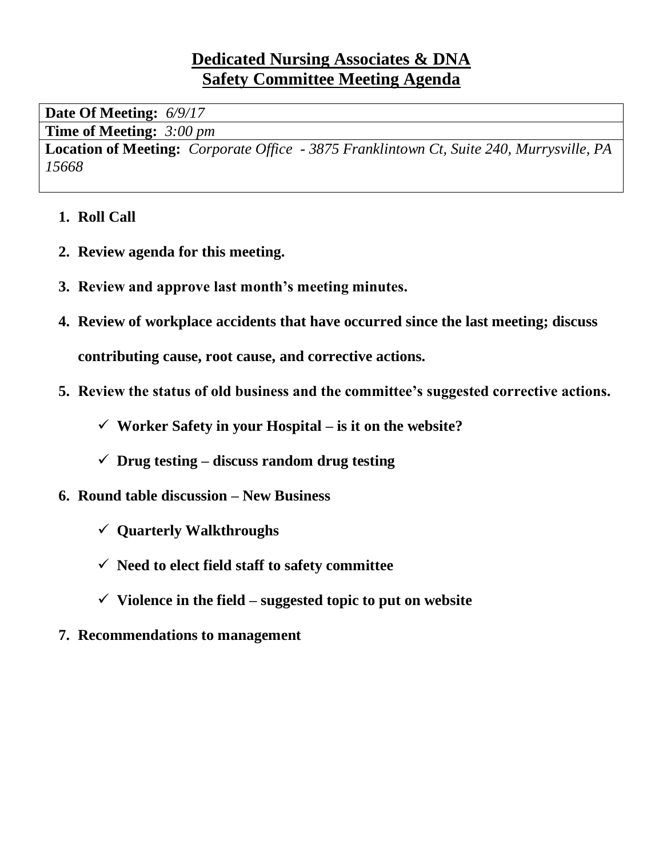## **Dedicated Nursing Associates & DNA Safety Committee Meeting Agenda**

**Date Of Meeting:** *6/9/17*

**Time of Meeting:** *3:00 pm*

**Location of Meeting:** *Corporate Office - 3875 Franklintown Ct, Suite 240, Murrysville, PA 15668*

- **1. Roll Call**
- **2. Review agenda for this meeting.**
- **3. Review and approve last month's meeting minutes.**
- **4. Review of workplace accidents that have occurred since the last meeting; discuss**

**contributing cause, root cause, and corrective actions.**

- **5. Review the status of old business and the committee's suggested corrective actions.**
	- ✓ **Worker Safety in your Hospital – is it on the website?**
	- ✓ **Drug testing – discuss random drug testing**
- **6. Round table discussion – New Business**
	- ✓ **Quarterly Walkthroughs**
	- ✓ **Need to elect field staff to safety committee**
	- ✓ **Violence in the field – suggested topic to put on website**
- **7. Recommendations to management**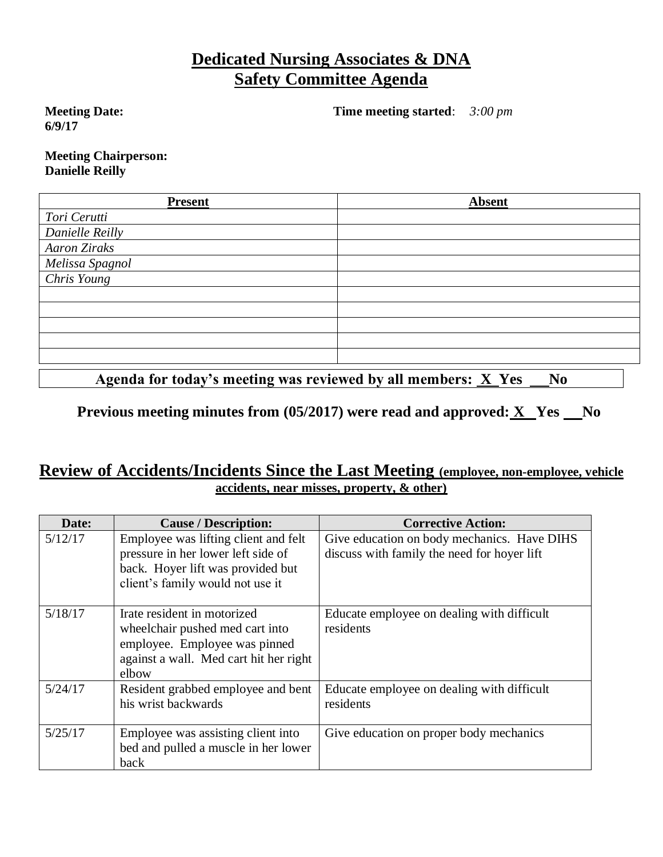## **Dedicated Nursing Associates & DNA Safety Committee Agenda**

**Meeting Date: 6/9/17**

**Time meeting started**: *3:00 pm*

**Meeting Chairperson: Danielle Reilly**

| <b>Present</b>            | <b>Absent</b> |
|---------------------------|---------------|
| Tori Cerutti              |               |
| Danielle Reilly           |               |
| <b>Aaron Ziraks</b>       |               |
| Melissa Spagnol           |               |
| $\overline{Chris\ Young}$ |               |
|                           |               |
|                           |               |
|                           |               |
|                           |               |
|                           |               |
|                           |               |

Agenda for today's meeting was reviewed by all members: **X** Yes No

#### **Previous meeting minutes from (05/2017) were read and approved: X** Yes No

#### **Review of Accidents/Incidents Since the Last Meeting (employee, non-employee, vehicle accidents, near misses, property, & other)**

| Date:   | <b>Cause / Description:</b>                                                                                                                         | <b>Corrective Action:</b>                                                                  |
|---------|-----------------------------------------------------------------------------------------------------------------------------------------------------|--------------------------------------------------------------------------------------------|
| 5/12/17 | Employee was lifting client and felt<br>pressure in her lower left side of<br>back. Hoyer lift was provided but<br>client's family would not use it | Give education on body mechanics. Have DIHS<br>discuss with family the need for hover lift |
| 5/18/17 | Irate resident in motorized<br>wheelchair pushed med cart into<br>employee. Employee was pinned<br>against a wall. Med cart hit her right<br>elbow  | Educate employee on dealing with difficult<br>residents                                    |
| 5/24/17 | Resident grabbed employee and bent<br>his wrist backwards                                                                                           | Educate employee on dealing with difficult<br>residents                                    |
| 5/25/17 | Employee was assisting client into<br>bed and pulled a muscle in her lower<br>back                                                                  | Give education on proper body mechanics                                                    |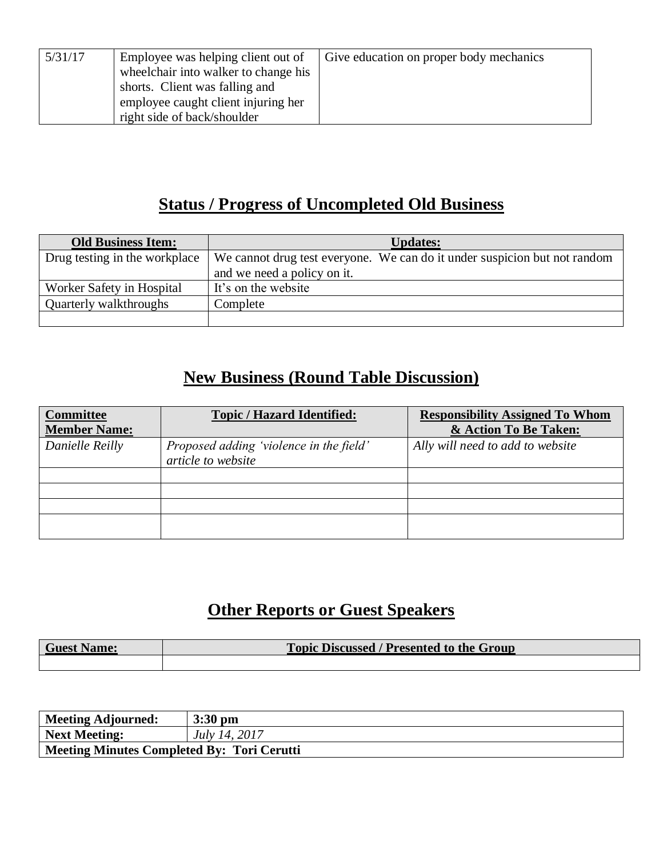| 5/31/17 | Employee was helping client out of<br>wheelchair into walker to change his<br>shorts. Client was falling and | Give education on proper body mechanics |
|---------|--------------------------------------------------------------------------------------------------------------|-----------------------------------------|
|         | employee caught client injuring her<br>right side of back/shoulder                                           |                                         |

## **Status / Progress of Uncompleted Old Business**

| <b>Old Business Item:</b>     | <b>Updates:</b>                                                           |
|-------------------------------|---------------------------------------------------------------------------|
| Drug testing in the workplace | We cannot drug test everyone. We can do it under suspicion but not random |
|                               | and we need a policy on it.                                               |
| Worker Safety in Hospital     | It's on the website                                                       |
| Quarterly walkthroughs        | Complete                                                                  |
|                               |                                                                           |

# **New Business (Round Table Discussion)**

| <b>Committee</b><br><b>Member Name:</b> | <b>Topic / Hazard Identified:</b>                             | <b>Responsibility Assigned To Whom</b><br>& Action To Be Taken: |
|-----------------------------------------|---------------------------------------------------------------|-----------------------------------------------------------------|
| Danielle Reilly                         | Proposed adding 'violence in the field'<br>article to website | Ally will need to add to website                                |
|                                         |                                                               |                                                                 |
|                                         |                                                               |                                                                 |
|                                         |                                                               |                                                                 |
|                                         |                                                               |                                                                 |

## **Other Reports or Guest Speakers**

| <b>Guest Name:</b> | <b>Topic Discussed / Presented to the Group</b> |
|--------------------|-------------------------------------------------|
|                    |                                                 |

| <b>Meeting Adjourned:</b>                         | $3:30$ pm            |
|---------------------------------------------------|----------------------|
| <b>Next Meeting:</b>                              | <i>July 14, 2017</i> |
| <b>Meeting Minutes Completed By: Tori Cerutti</b> |                      |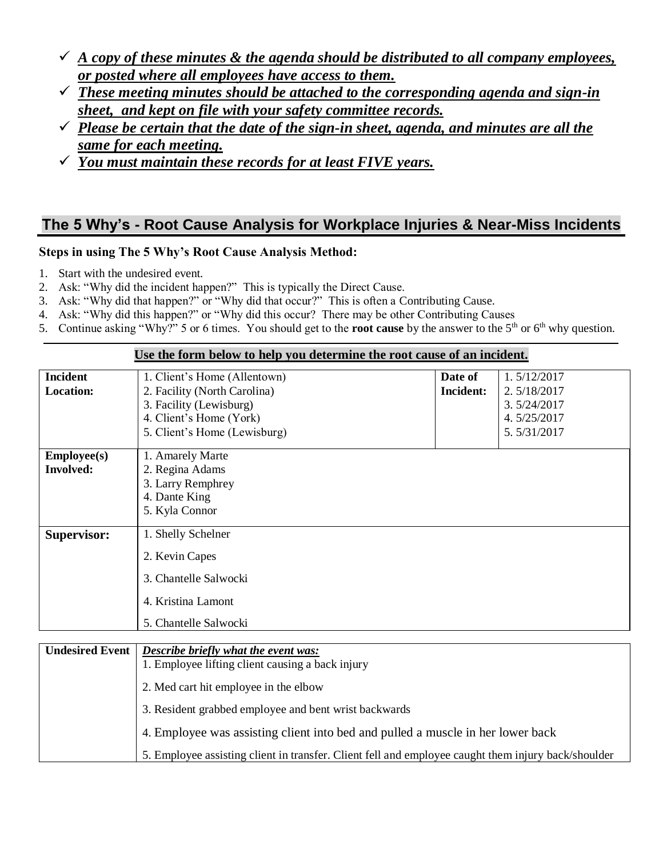- $\checkmark$  *A copy of these minutes & the agenda should be distributed to all company employees, or posted where all employees have access to them.*
- ✓ *These meeting minutes should be attached to the corresponding agenda and sign-in sheet, and kept on file with your safety committee records.*
- $\checkmark$  *Please be certain that the date of the sign-in sheet, agenda, and minutes are all the same for each meeting.*
- ✓ *You must maintain these records for at least FIVE years.*

#### **The 5 Why's - Root Cause Analysis for Workplace Injuries & Near-Miss Incidents**

#### **Steps in using The 5 Why's Root Cause Analysis Method:**

- 1. Start with the undesired event.
- 2. Ask: "Why did the incident happen?" This is typically the Direct Cause.
- 3. Ask: "Why did that happen?" or "Why did that occur?" This is often a Contributing Cause.
- 4. Ask: "Why did this happen?" or "Why did this occur? There may be other Contributing Causes
- 5. Continue asking "Why?" 5 or 6 times. You should get to the **root cause** by the answer to the 5<sup>th</sup> or 6<sup>th</sup> why question.

|                                        | Use the form below to help you determine the root cause of an incident.                                                                            |                             |                                                                         |
|----------------------------------------|----------------------------------------------------------------------------------------------------------------------------------------------------|-----------------------------|-------------------------------------------------------------------------|
| <b>Incident</b><br><b>Location:</b>    | 1. Client's Home (Allentown)<br>2. Facility (North Carolina)<br>3. Facility (Lewisburg)<br>4. Client's Home (York)<br>5. Client's Home (Lewisburg) | Date of<br><b>Incident:</b> | 1.5/12/2017<br>2.5/18/2017<br>3.5/24/2017<br>4.5/25/2017<br>5.5/31/2017 |
| <b>Employee(s)</b><br><b>Involved:</b> | 1. Amarely Marte<br>2. Regina Adams<br>3. Larry Remphrey<br>4. Dante King<br>5. Kyla Connor                                                        |                             |                                                                         |
| <b>Supervisor:</b>                     | 1. Shelly Schelner<br>2. Kevin Capes<br>3. Chantelle Salwocki<br>4. Kristina Lamont<br>5. Chantelle Salwocki                                       |                             |                                                                         |

| <b>Undesired Event</b> | <b>Describe briefly what the event was:</b><br>1. Employee lifting client causing a back injury     |
|------------------------|-----------------------------------------------------------------------------------------------------|
|                        | 2. Med cart hit employee in the elbow                                                               |
|                        | 3. Resident grabbed employee and bent wrist backwards                                               |
|                        | 4. Employee was assisting client into bed and pulled a muscle in her lower back                     |
|                        | 5. Employee assisting client in transfer. Client fell and employee caught them injury back/shoulder |